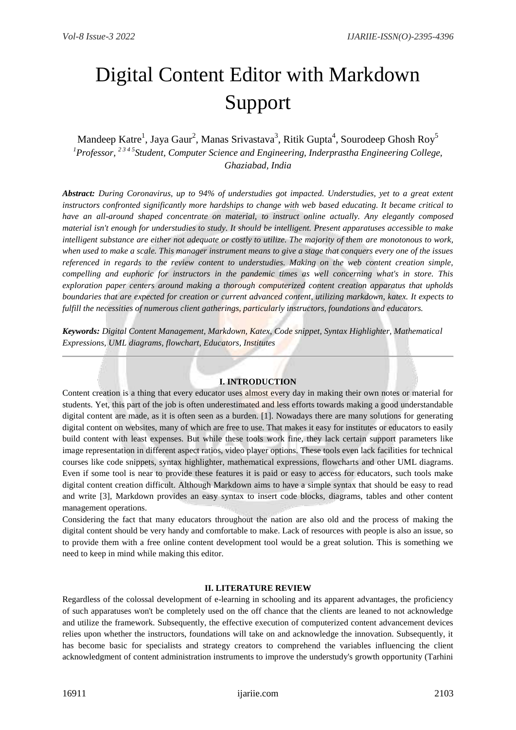# Digital Content Editor with Markdown Support

# Mandeep Katre<sup>1</sup>, Jaya Gaur<sup>2</sup>, Manas Srivastava<sup>3</sup>, Ritik Gupta<sup>4</sup>, Sourodeep Ghosh Roy<sup>5</sup> *<sup>1</sup>Professor, 2 3 4 5Student, Computer Science and Engineering, Inderprastha Engineering College, Ghaziabad, India*

*Abstract: During Coronavirus, up to 94% of understudies got impacted. Understudies, yet to a great extent instructors confronted significantly more hardships to change with web based educating. It became critical to have an all-around shaped concentrate on material, to instruct online actually. Any elegantly composed material isn't enough for understudies to study. It should be intelligent. Present apparatuses accessible to make intelligent substance are either not adequate or costly to utilize. The majority of them are monotonous to work, when used to make a scale. This manager instrument means to give a stage that conquers every one of the issues referenced in regards to the review content to understudies. Making on the web content creation simple, compelling and euphoric for instructors in the pandemic times as well concerning what's in store. This exploration paper centers around making a thorough computerized content creation apparatus that upholds boundaries that are expected for creation or current advanced content, utilizing markdown, katex. It expects to fulfill the necessities of numerous client gatherings, particularly instructors, foundations and educators.*

*Keywords: Digital Content Management, Markdown, Katex, Code snippet, Syntax Highlighter, Mathematical Expressions, UML diagrams, flowchart, Educators, Institutes*

# **I. INTRODUCTION**

Content creation is a thing that every educator uses almost every day in making their own notes or material for students. Yet, this part of the job is often underestimated and less efforts towards making a good understandable digital content are made, as it is often seen as a burden. [1]. Nowadays there are many solutions for generating digital content on websites, many of which are free to use. That makes it easy for institutes or educators to easily build content with least expenses. But while these tools work fine, they lack certain support parameters like image representation in different aspect ratios, video player options. These tools even lack facilities for technical courses like code snippets, syntax highlighter, mathematical expressions, flowcharts and other UML diagrams. Even if some tool is near to provide these features it is paid or easy to access for educators, such tools make digital content creation difficult. Although Markdown aims to have a simple syntax that should be easy to read and write [3], Markdown provides an easy syntax to insert code blocks, diagrams, tables and other content management operations.

Considering the fact that many educators throughout the nation are also old and the process of making the digital content should be very handy and comfortable to make. Lack of resources with people is also an issue, so to provide them with a free online content development tool would be a great solution. This is something we need to keep in mind while making this editor.

#### **II. LITERATURE REVIEW**

Regardless of the colossal development of e-learning in schooling and its apparent advantages, the proficiency of such apparatuses won't be completely used on the off chance that the clients are leaned to not acknowledge and utilize the framework. Subsequently, the effective execution of computerized content advancement devices relies upon whether the instructors, foundations will take on and acknowledge the innovation. Subsequently, it has become basic for specialists and strategy creators to comprehend the variables influencing the client acknowledgment of content administration instruments to improve the understudy's growth opportunity (Tarhini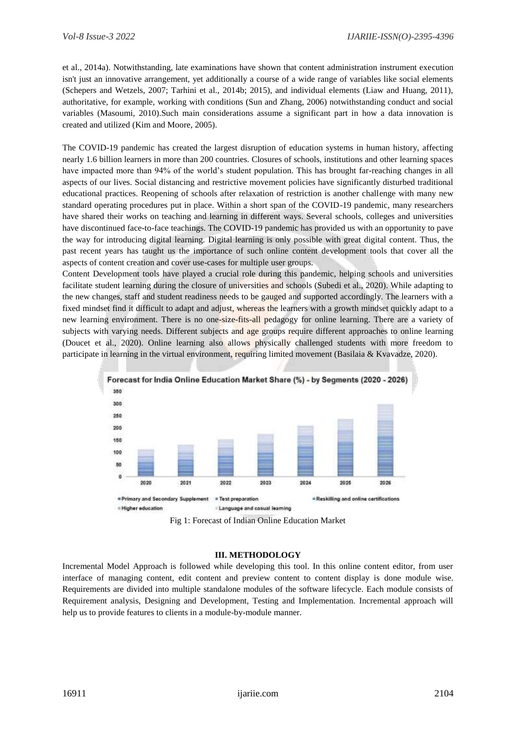et al., 2014a). Notwithstanding, late examinations have shown that content administration instrument execution isn't just an innovative arrangement, yet additionally a course of a wide range of variables like social elements (Schepers and Wetzels, 2007; Tarhini et al., 2014b; 2015), and individual elements (Liaw and Huang, 2011), authoritative, for example, working with conditions (Sun and Zhang, 2006) notwithstanding conduct and social variables (Masoumi, 2010).Such main considerations assume a significant part in how a data innovation is created and utilized (Kim and Moore, 2005).

The COVID-19 pandemic has created the largest disruption of education systems in human history, affecting nearly 1.6 billion learners in more than 200 countries. Closures of schools, institutions and other learning spaces have impacted more than 94% of the world's student population. This has brought far-reaching changes in all aspects of our lives. Social distancing and restrictive movement policies have significantly disturbed traditional educational practices. Reopening of schools after relaxation of restriction is another challenge with many new standard operating procedures put in place. Within a short span of the COVID-19 pandemic, many researchers have shared their works on teaching and learning in different ways. Several schools, colleges and universities have discontinued face-to-face teachings. The COVID-19 pandemic has provided us with an opportunity to pave the way for introducing digital learning. Digital learning is only possible with great digital content. Thus, the past recent years has taught us the importance of such online content development tools that cover all the aspects of content creation and cover use-cases for multiple user groups.

Content Development tools have played a crucial role during this pandemic, helping schools and universities facilitate student learning during the closure of universities and schools (Subedi et al., 2020). While adapting to the new changes, staff and student readiness needs to be gauged and supported accordingly. The learners with a fixed mindset find it difficult to adapt and adjust, whereas the learners with a growth mindset quickly adapt to a new learning environment. There is no one-size-fits-all pedagogy for online learning. There are a variety of subjects with varying needs. Different subjects and age groups require different approaches to online learning (Doucet et al., 2020). Online learning also allows physically challenged students with more freedom to participate in learning in the virtual environment, requiring limited movement (Basilaia & Kvavadze, 2020).



Fig 1: Forecast of Indian Online Education Market

#### **III. METHODOLOGY**

Incremental Model Approach is followed while developing this tool. In this online content editor, from user interface of managing content, edit content and preview content to content display is done module wise. Requirements are divided into multiple standalone modules of the software lifecycle. Each module consists of Requirement analysis, Designing and Development, Testing and Implementation. Incremental approach will help us to provide features to clients in a module-by-module manner.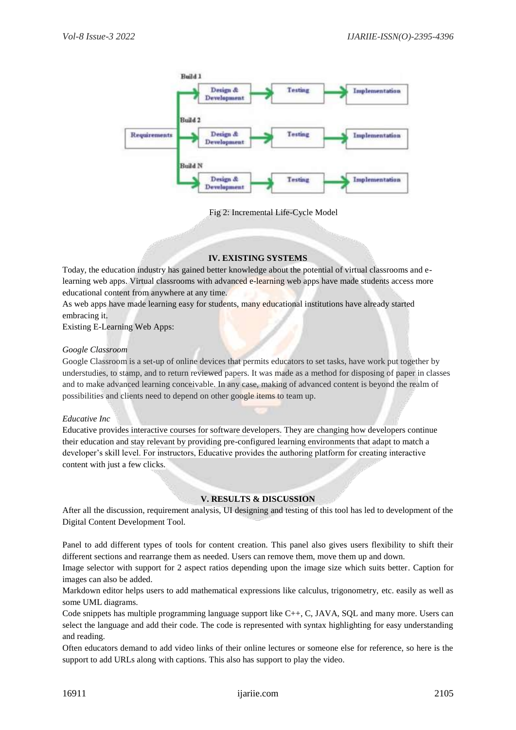

Fig 2: Incremental Life-Cycle Model

# **IV. EXISTING SYSTEMS**

Today, the education industry has gained better knowledge about the potential of virtual classrooms and elearning web apps. Virtual classrooms with advanced e-learning web apps have made students access more educational content from anywhere at any time.

As web apps have made learning easy for students, many educational institutions have already started embracing it.

Existing E-Learning Web Apps:

# *Google Classroom*

Google Classroom is a set-up of online devices that permits educators to set tasks, have work put together by understudies, to stamp, and to return reviewed papers. It was made as a method for disposing of paper in classes and to make advanced learning conceivable. In any case, making of advanced content is beyond the realm of possibilities and clients need to depend on other google items to team up.

#### *Educative Inc*

Educative provides interactive courses for software developers. They are changing how developers continue their education and stay relevant by providing pre-configured learning environments that adapt to match a developer's skill level. For instructors, Educative provides the authoring platform for creating interactive content with just a few clicks.

#### **V. RESULTS & DISCUSSION**

After all the discussion, requirement analysis, UI designing and testing of this tool has led to development of the Digital Content Development Tool.

Panel to add different types of tools for content creation. This panel also gives users flexibility to shift their different sections and rearrange them as needed. Users can remove them, move them up and down.

Image selector with support for 2 aspect ratios depending upon the image size which suits better. Caption for images can also be added.

Markdown editor helps users to add mathematical expressions like calculus, trigonometry, etc. easily as well as some UML diagrams.

Code snippets has multiple programming language support like C++, C, JAVA, SQL and many more. Users can select the language and add their code. The code is represented with syntax highlighting for easy understanding and reading.

Often educators demand to add video links of their online lectures or someone else for reference, so here is the support to add URLs along with captions. This also has support to play the video.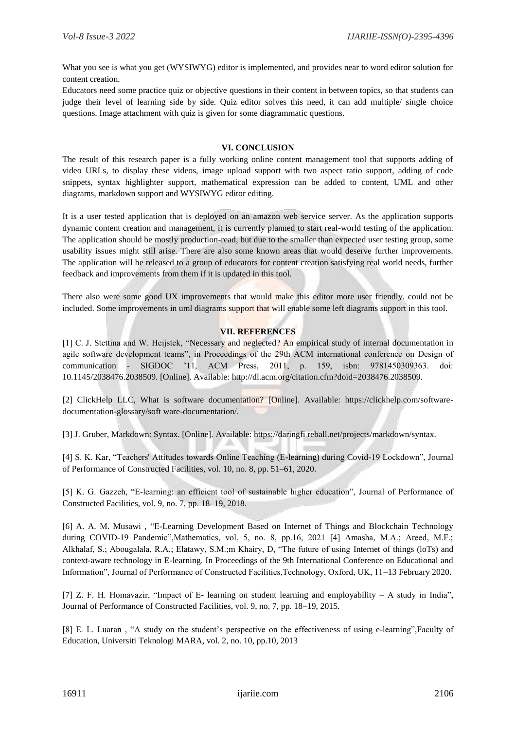What you see is what you get (WYSIWYG) editor is implemented, and provides near to word editor solution for content creation.

Educators need some practice quiz or objective questions in their content in between topics, so that students can judge their level of learning side by side. Quiz editor solves this need, it can add multiple/ single choice questions. Image attachment with quiz is given for some diagrammatic questions.

### **VI. CONCLUSION**

The result of this research paper is a fully working online content management tool that supports adding of video URLs, to display these videos, image upload support with two aspect ratio support, adding of code snippets, syntax highlighter support, mathematical expression can be added to content, UML and other diagrams, markdown support and WYSIWYG editor editing.

It is a user tested application that is deployed on an amazon web service server. As the application supports dynamic content creation and management, it is currently planned to start real-world testing of the application. The application should be mostly production-read, but due to the smaller than expected user testing group, some usability issues might still arise. There are also some known areas that would deserve further improvements. The application will be released to a group of educators for content creation satisfying real world needs, further feedback and improvements from them if it is updated in this tool.

There also were some good UX improvements that would make this editor more user friendly. could not be included. Some improvements in uml diagrams support that will enable some left diagrams support in this tool.

# **VII. REFERENCES**

[1] C. J. Stettina and W. Heijstek, "Necessary and neglected? An empirical study of internal documentation in agile software development teams", in Proceedings of the 29th ACM international conference on Design of communication - SIGDOC '11, ACM Press, 2011, p. 159, isbn: 9781450309363. doi: 10.1145/2038476.2038509. [Online]. Available: http://dl.acm.org/citation.cfm?doid=2038476.2038509.

[2] ClickHelp LLC, What is software documentation? [Online]. Available: https://clickhelp.com/softwaredocumentation-glossary/soft ware-documentation/.

[3] J. Gruber, Markdown: Syntax. [Online]. Available: https://daringfi reball.net/projects/markdown/syntax.

[4] S. K. Kar, "Teachers' Attitudes towards Online Teaching (E-learning) during Covid-19 Lockdown", Journal of Performance of Constructed Facilities, vol. 10, no. 8, pp. 51–61, 2020.

[5] K. G. Gazzeh, "E-learning: an efficient tool of sustainable higher education", Journal of Performance of Constructed Facilities, vol. 9, no. 7, pp. 18–19, 2018.

[6] A. A. M. Musawi , "E-Learning Development Based on Internet of Things and Blockchain Technology during COVID-19 Pandemic",Mathematics, vol. 5, no. 8, pp.16, 2021 [4] Amasha, M.A.; Areed, M.F.; Alkhalaf, S.; Abougalala, R.A.; Elatawy, S.M.;m Khairy, D, "The future of using Internet of things (loTs) and context-aware technology in E-learning. In Proceedings of the 9th International Conference on Educational and Information", Journal of Performance of Constructed Facilities,Technology, Oxford, UK, 11–13 February 2020.

[7] Z. F. H. Homavazir, "Impact of E- learning on student learning and employability – A study in India", Journal of Performance of Constructed Facilities, vol. 9, no. 7, pp. 18–19, 2015.

[8] E. L. Luaran , "A study on the student's perspective on the effectiveness of using e-learning",Faculty of Education, Universiti Teknologi MARA, vol. 2, no. 10, pp.10, 2013